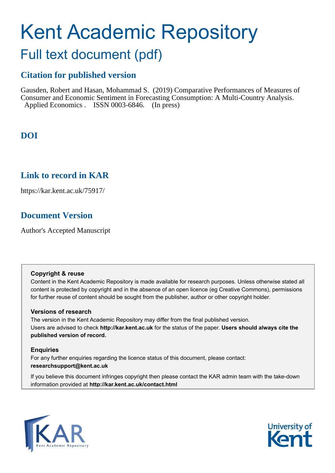# Kent Academic Repository

## Full text document (pdf)

## **Citation for published version**

Gausden, Robert and Hasan, Mohammad S. (2019) Comparative Performances of Measures of Consumer and Economic Sentiment in Forecasting Consumption: A Multi-Country Analysis. Applied Economics . ISSN 0003-6846. (In press)

## **DOI**

### **Link to record in KAR**

https://kar.kent.ac.uk/75917/

## **Document Version**

Author's Accepted Manuscript

#### **Copyright & reuse**

Content in the Kent Academic Repository is made available for research purposes. Unless otherwise stated all content is protected by copyright and in the absence of an open licence (eg Creative Commons), permissions for further reuse of content should be sought from the publisher, author or other copyright holder.

#### **Versions of research**

The version in the Kent Academic Repository may differ from the final published version. Users are advised to check **http://kar.kent.ac.uk** for the status of the paper. **Users should always cite the published version of record.**

#### **Enquiries**

For any further enquiries regarding the licence status of this document, please contact: **researchsupport@kent.ac.uk**

If you believe this document infringes copyright then please contact the KAR admin team with the take-down information provided at **http://kar.kent.ac.uk/contact.html**



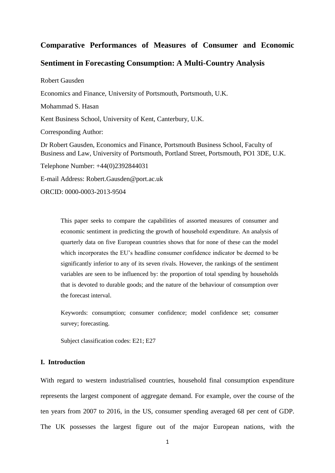#### **Comparative Performances of Measures of Consumer and Economic**

#### **Sentiment in Forecasting Consumption: A Multi-Country Analysis**

Robert Gausden

Economics and Finance, University of Portsmouth, Portsmouth, U.K.

Mohammad S. Hasan

Kent Business School, University of Kent, Canterbury, U.K.

Corresponding Author:

Dr Robert Gausden, Economics and Finance, Portsmouth Business School, Faculty of Business and Law, University of Portsmouth, Portland Street, Portsmouth, PO1 3DE, U.K.

Telephone Number: +44(0)2392844031

E-mail Address: Robert.Gausden@port.ac.uk

ORCID: 0000-0003-2013-9504

This paper seeks to compare the capabilities of assorted measures of consumer and economic sentiment in predicting the growth of household expenditure. An analysis of quarterly data on five European countries shows that for none of these can the model which incorporates the EU's headline consumer confidence indicator be deemed to be significantly inferior to any of its seven rivals. However, the rankings of the sentiment variables are seen to be influenced by: the proportion of total spending by households that is devoted to durable goods; and the nature of the behaviour of consumption over the forecast interval.

Keywords: consumption; consumer confidence; model confidence set; consumer survey; forecasting.

Subject classification codes: E21; E27

#### **I. Introduction**

With regard to western industrialised countries, household final consumption expenditure represents the largest component of aggregate demand. For example, over the course of the ten years from 2007 to 2016, in the US, consumer spending averaged 68 per cent of GDP. The UK possesses the largest figure out of the major European nations, with the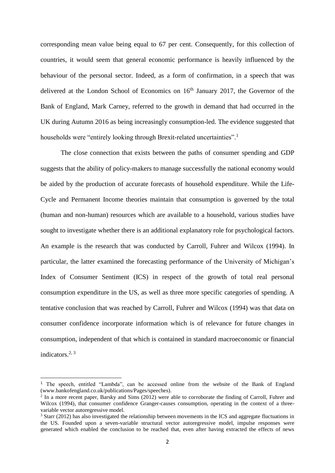corresponding mean value being equal to 67 per cent. Consequently, for this collection of countries, it would seem that general economic performance is heavily influenced by the behaviour of the personal sector. Indeed, as a form of confirmation, in a speech that was delivered at the London School of Economics on 16<sup>th</sup> January 2017, the Governor of the Bank of England, Mark Carney, referred to the growth in demand that had occurred in the UK during Autumn 2016 as being increasingly consumption-led. The evidence suggested that households were "entirely looking through Brexit-related uncertainties".<sup>1</sup>

The close connection that exists between the paths of consumer spending and GDP suggests that the ability of policy-makers to manage successfully the national economy would be aided by the production of accurate forecasts of household expenditure. While the Life-Cycle and Permanent Income theories maintain that consumption is governed by the total (human and non-human) resources which are available to a household, various studies have sought to investigate whether there is an additional explanatory role for psychological factors. An example is the research that was conducted by Carroll, Fuhrer and Wilcox (1994). In particular, the latter examined the forecasting performance of the University of Michigan's Index of Consumer Sentiment (ICS) in respect of the growth of total real personal consumption expenditure in the US, as well as three more specific categories of spending. A tentative conclusion that was reached by Carroll, Fuhrer and Wilcox (1994) was that data on consumer confidence incorporate information which is of relevance for future changes in consumption, independent of that which is contained in standard macroeconomic or financial indicators.2, <sup>3</sup>

<sup>1</sup> The speech, entitled "Lambda", can be accessed online from the website of the Bank of England (www.bankofengland.co.uk/publications/Pages/speeches).

<sup>&</sup>lt;sup>2</sup> In a more recent paper, Barsky and Sims (2012) were able to corroborate the finding of Carroll, Fuhrer and Wilcox (1994), that consumer confidence Granger-causes consumption, operating in the context of a threevariable vector autoregressive model.

<sup>&</sup>lt;sup>3</sup> Starr (2012) has also investigated the relationship between movements in the ICS and aggregate fluctuations in the US. Founded upon a seven-variable structural vector autoregressive model, impulse responses were generated which enabled the conclusion to be reached that, even after having extracted the effects of news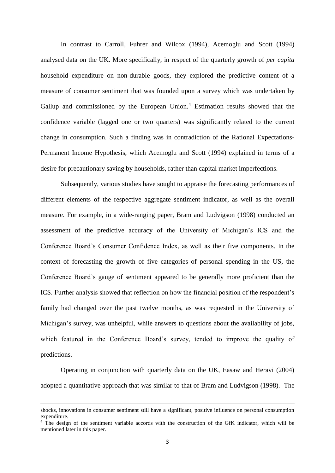In contrast to Carroll, Fuhrer and Wilcox (1994), Acemoglu and Scott (1994) analysed data on the UK. More specifically, in respect of the quarterly growth of *per capita* household expenditure on non-durable goods, they explored the predictive content of a measure of consumer sentiment that was founded upon a survey which was undertaken by Gallup and commissioned by the European Union.<sup>4</sup> Estimation results showed that the confidence variable (lagged one or two quarters) was significantly related to the current change in consumption. Such a finding was in contradiction of the Rational Expectations-Permanent Income Hypothesis, which Acemoglu and Scott (1994) explained in terms of a desire for precautionary saving by households, rather than capital market imperfections.

Subsequently, various studies have sought to appraise the forecasting performances of different elements of the respective aggregate sentiment indicator, as well as the overall measure. For example, in a wide-ranging paper, Bram and Ludvigson (1998) conducted an assessment of the predictive accuracy of the University of Michigan's ICS and the Conference Board's Consumer Confidence Index, as well as their five components. In the context of forecasting the growth of five categories of personal spending in the US, the Conference Board's gauge of sentiment appeared to be generally more proficient than the ICS. Further analysis showed that reflection on how the financial position of the respondent's family had changed over the past twelve months, as was requested in the University of Michigan's survey, was unhelpful, while answers to questions about the availability of jobs, which featured in the Conference Board's survey, tended to improve the quality of predictions.

Operating in conjunction with quarterly data on the UK, Easaw and Heravi (2004) adopted a quantitative approach that was similar to that of Bram and Ludvigson (1998). The

shocks, innovations in consumer sentiment still have a significant, positive influence on personal consumption expenditure.

<sup>4</sup> The design of the sentiment variable accords with the construction of the GfK indicator, which will be mentioned later in this paper.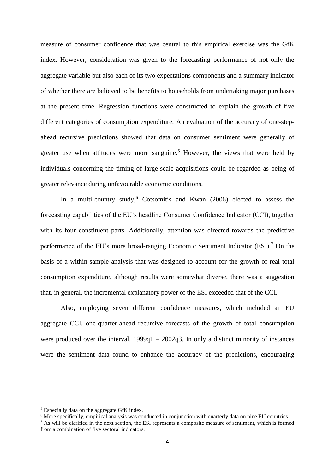measure of consumer confidence that was central to this empirical exercise was the GfK index. However, consideration was given to the forecasting performance of not only the aggregate variable but also each of its two expectations components and a summary indicator of whether there are believed to be benefits to households from undertaking major purchases at the present time. Regression functions were constructed to explain the growth of five different categories of consumption expenditure. An evaluation of the accuracy of one-stepahead recursive predictions showed that data on consumer sentiment were generally of greater use when attitudes were more sanguine.<sup>5</sup> However, the views that were held by individuals concerning the timing of large-scale acquisitions could be regarded as being of greater relevance during unfavourable economic conditions.

In a multi-country study, $6$  Cotsomitis and Kwan (2006) elected to assess the forecasting capabilities of the EU's headline Consumer Confidence Indicator (CCI), together with its four constituent parts. Additionally, attention was directed towards the predictive performance of the EU's more broad-ranging Economic Sentiment Indicator (ESI).<sup>7</sup> On the basis of a within-sample analysis that was designed to account for the growth of real total consumption expenditure, although results were somewhat diverse, there was a suggestion that, in general, the incremental explanatory power of the ESI exceeded that of the CCI.

Also, employing seven different confidence measures, which included an EU aggregate CCI, one-quarter-ahead recursive forecasts of the growth of total consumption were produced over the interval,  $1999q1 - 2002q3$ . In only a distinct minority of instances were the sentiment data found to enhance the accuracy of the predictions, encouraging

<sup>5</sup> Especially data on the aggregate GfK index.

<sup>6</sup> More specifically, empirical analysis was conducted in conjunction with quarterly data on nine EU countries.

 $<sup>7</sup>$  As will be clarified in the next section, the ESI represents a composite measure of sentiment, which is formed</sup> from a combination of five sectoral indicators.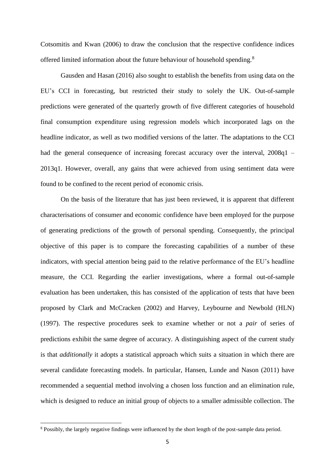Cotsomitis and Kwan (2006) to draw the conclusion that the respective confidence indices offered limited information about the future behaviour of household spending.<sup>8</sup>

Gausden and Hasan (2016) also sought to establish the benefits from using data on the EU's CCI in forecasting, but restricted their study to solely the UK. Out-of-sample predictions were generated of the quarterly growth of five different categories of household final consumption expenditure using regression models which incorporated lags on the headline indicator, as well as two modified versions of the latter. The adaptations to the CCI had the general consequence of increasing forecast accuracy over the interval,  $2008q1$  – 2013q1. However, overall, any gains that were achieved from using sentiment data were found to be confined to the recent period of economic crisis.

On the basis of the literature that has just been reviewed, it is apparent that different characterisations of consumer and economic confidence have been employed for the purpose of generating predictions of the growth of personal spending. Consequently, the principal objective of this paper is to compare the forecasting capabilities of a number of these indicators, with special attention being paid to the relative performance of the EU's headline measure, the CCI. Regarding the earlier investigations, where a formal out-of-sample evaluation has been undertaken, this has consisted of the application of tests that have been proposed by Clark and McCracken (2002) and Harvey, Leybourne and Newbold (HLN) (1997). The respective procedures seek to examine whether or not a *pair* of series of predictions exhibit the same degree of accuracy. A distinguishing aspect of the current study is that *additionally* it adopts a statistical approach which suits a situation in which there are several candidate forecasting models. In particular, Hansen, Lunde and Nason (2011) have recommended a sequential method involving a chosen loss function and an elimination rule, which is designed to reduce an initial group of objects to a smaller admissible collection. The

<sup>&</sup>lt;sup>8</sup> Possibly, the largely negative findings were influenced by the short length of the post-sample data period.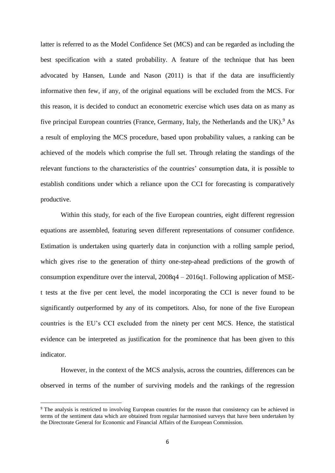latter is referred to as the Model Confidence Set (MCS) and can be regarded as including the best specification with a stated probability. A feature of the technique that has been advocated by Hansen, Lunde and Nason (2011) is that if the data are insufficiently informative then few, if any, of the original equations will be excluded from the MCS. For this reason, it is decided to conduct an econometric exercise which uses data on as many as five principal European countries (France, Germany, Italy, the Netherlands and the UK).<sup>9</sup> As a result of employing the MCS procedure, based upon probability values, a ranking can be achieved of the models which comprise the full set. Through relating the standings of the relevant functions to the characteristics of the countries' consumption data, it is possible to establish conditions under which a reliance upon the CCI for forecasting is comparatively productive.

Within this study, for each of the five European countries, eight different regression equations are assembled, featuring seven different representations of consumer confidence. Estimation is undertaken using quarterly data in conjunction with a rolling sample period, which gives rise to the generation of thirty one-step-ahead predictions of the growth of consumption expenditure over the interval, 2008q4 – 2016q1. Following application of MSEt tests at the five per cent level, the model incorporating the CCI is never found to be significantly outperformed by any of its competitors. Also, for none of the five European countries is the EU's CCI excluded from the ninety per cent MCS. Hence, the statistical evidence can be interpreted as justification for the prominence that has been given to this indicator.

However, in the context of the MCS analysis, across the countries, differences can be observed in terms of the number of surviving models and the rankings of the regression

<sup>&</sup>lt;sup>9</sup> The analysis is restricted to involving European countries for the reason that consistency can be achieved in terms of the sentiment data which are obtained from regular harmonised surveys that have been undertaken by the Directorate General for Economic and Financial Affairs of the European Commission.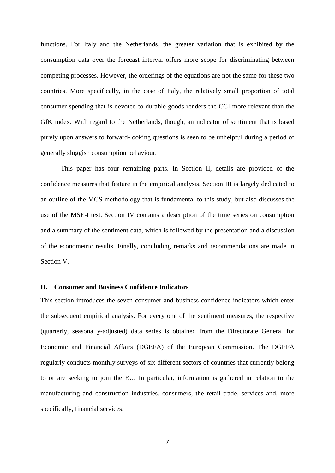functions. For Italy and the Netherlands, the greater variation that is exhibited by the consumption data over the forecast interval offers more scope for discriminating between competing processes. However, the orderings of the equations are not the same for these two countries. More specifically, in the case of Italy, the relatively small proportion of total consumer spending that is devoted to durable goods renders the CCI more relevant than the GfK index. With regard to the Netherlands, though, an indicator of sentiment that is based purely upon answers to forward-looking questions is seen to be unhelpful during a period of generally sluggish consumption behaviour.

This paper has four remaining parts. In Section II, details are provided of the confidence measures that feature in the empirical analysis. Section III is largely dedicated to an outline of the MCS methodology that is fundamental to this study, but also discusses the use of the MSE-t test. Section IV contains a description of the time series on consumption and a summary of the sentiment data, which is followed by the presentation and a discussion of the econometric results. Finally, concluding remarks and recommendations are made in Section V.

#### **II. Consumer and Business Confidence Indicators**

This section introduces the seven consumer and business confidence indicators which enter the subsequent empirical analysis. For every one of the sentiment measures, the respective (quarterly, seasonally-adjusted) data series is obtained from the Directorate General for Economic and Financial Affairs (DGEFA) of the European Commission. The DGEFA regularly conducts monthly surveys of six different sectors of countries that currently belong to or are seeking to join the EU. In particular, information is gathered in relation to the manufacturing and construction industries, consumers, the retail trade, services and, more specifically, financial services.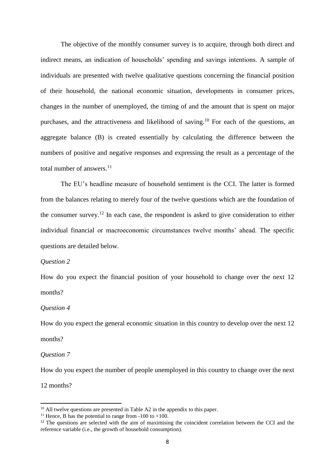The objective of the monthly consumer survey is to acquire, through both direct and indirect means, an indication of households' spending and savings intentions. A sample of individuals are presented with twelve qualitative questions concerning the financial position of their household, the national economic situation, developments in consumer prices, changes in the number of unemployed, the timing of and the amount that is spent on major purchases, and the attractiveness and likelihood of saving.<sup>10</sup> For each of the questions, an aggregate balance (B) is created essentially by calculating the difference between the numbers of positive and negative responses and expressing the result as a percentage of the total number of answers.<sup>11</sup>

The EU's headline measure of household sentiment is the CCI. The latter is formed from the balances relating to merely four of the twelve questions which are the foundation of the consumer survey.<sup>12</sup> In each case, the respondent is asked to give consideration to either individual financial or macroeconomic circumstances twelve months' ahead. The specific questions are detailed below.

#### *Question 2*

How do you expect the financial position of your household to change over the next 12 months?

#### *Question 4*

How do you expect the general economic situation in this country to develop over the next 12 months?

*Question 7*

How do you expect the number of people unemployed in this country to change over the next

12 months?

 $10$  All twelve questions are presented in Table A2 in the appendix to this paper.

<sup>&</sup>lt;sup>11</sup> Hence, B has the potential to range from  $-100$  to  $+100$ .

<sup>&</sup>lt;sup>12</sup> The questions are selected with the aim of maximising the coincident correlation between the CCI and the reference variable (i.e., the growth of household consumption).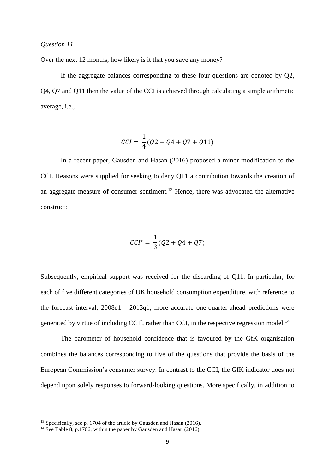#### *Question 11*

Over the next 12 months, how likely is it that you save any money?

If the aggregate balances corresponding to these four questions are denoted by Q2, Q4, Q7 and Q11 then the value of the CCI is achieved through calculating a simple arithmetic average, i.e.,

$$
CCI = \frac{1}{4}(Q2 + Q4 + Q7 + Q11)
$$

In a recent paper, Gausden and Hasan (2016) proposed a minor modification to the CCI. Reasons were supplied for seeking to deny Q11 a contribution towards the creation of an aggregate measure of consumer sentiment.<sup>13</sup> Hence, there was advocated the alternative construct:

$$
CCI^* = \frac{1}{3}(Q2 + Q4 + Q7)
$$

Subsequently, empirical support was received for the discarding of Q11. In particular, for each of five different categories of UK household consumption expenditure, with reference to the forecast interval, 2008q1 - 2013q1, more accurate one-quarter-ahead predictions were generated by virtue of including CCI<sup>\*</sup>, rather than CCI, in the respective regression model.<sup>14</sup>

The barometer of household confidence that is favoured by the GfK organisation combines the balances corresponding to five of the questions that provide the basis of the European Commission's consumer survey. In contrast to the CCI, the GfK indicator does not depend upon solely responses to forward-looking questions. More specifically, in addition to

<sup>&</sup>lt;sup>13</sup> Specifically, see p. 1704 of the article by Gausden and Hasan (2016).

 $14$  See Table 8, p.1706, within the paper by Gausden and Hasan (2016).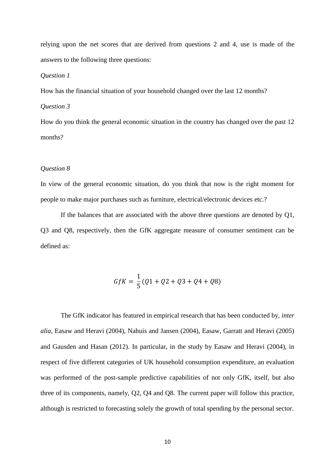relying upon the net scores that are derived from questions 2 and 4, use is made of the answers to the following three questions:

#### *Question 1*

How has the financial situation of your household changed over the last 12 months?

#### *Question 3*

How do you think the general economic situation in the country has changed over the past 12 months?

#### *Question 8*

In view of the general economic situation, do you think that now is the right moment for people to make major purchases such as furniture, electrical/electronic devices etc.?

If the balances that are associated with the above three questions are denoted by Q1, Q3 and Q8, respectively, then the GfK aggregate measure of consumer sentiment can be defined as:

$$
GfK = \frac{1}{5}(Q1 + Q2 + Q3 + Q4 + Q8)
$$

The GfK indicator has featured in empirical research that has been conducted by, *inter alia*, Easaw and Heravi (2004), Nahuis and Jansen (2004), Easaw, Garratt and Heravi (2005) and Gausden and Hasan (2012). In particular, in the study by Easaw and Heravi (2004), in respect of five different categories of UK household consumption expenditure, an evaluation was performed of the post-sample predictive capabilities of not only GfK, itself, but also three of its components, namely, Q2, Q4 and Q8. The current paper will follow this practice, although is restricted to forecasting solely the growth of total spending by the personal sector.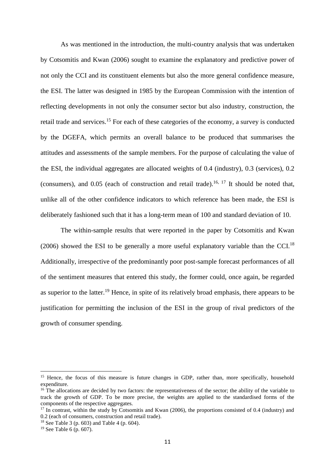As was mentioned in the introduction, the multi-country analysis that was undertaken by Cotsomitis and Kwan (2006) sought to examine the explanatory and predictive power of not only the CCI and its constituent elements but also the more general confidence measure, the ESI. The latter was designed in 1985 by the European Commission with the intention of reflecting developments in not only the consumer sector but also industry, construction, the retail trade and services.<sup>15</sup> For each of these categories of the economy, a survey is conducted by the DGEFA, which permits an overall balance to be produced that summarises the attitudes and assessments of the sample members. For the purpose of calculating the value of the ESI, the individual aggregates are allocated weights of 0.4 (industry), 0.3 (services), 0.2 (consumers), and 0.05 (each of construction and retail trade). 16, 17 It should be noted that, unlike all of the other confidence indicators to which reference has been made, the ESI is deliberately fashioned such that it has a long-term mean of 100 and standard deviation of 10.

The within-sample results that were reported in the paper by Cotsomitis and Kwan (2006) showed the ESI to be generally a more useful explanatory variable than the CCI.<sup>18</sup> Additionally, irrespective of the predominantly poor post-sample forecast performances of all of the sentiment measures that entered this study, the former could, once again, be regarded as superior to the latter.<sup>19</sup> Hence, in spite of its relatively broad emphasis, there appears to be justification for permitting the inclusion of the ESI in the group of rival predictors of the growth of consumer spending.

 $\overline{\phantom{a}}$ 

<sup>&</sup>lt;sup>15</sup> Hence, the focus of this measure is future changes in GDP, rather than, more specifically, household expenditure.

<sup>&</sup>lt;sup>16</sup> The allocations are decided by two factors: the representativeness of the sector; the ability of the variable to track the growth of GDP. To be more precise, the weights are applied to the standardised forms of the components of the respective aggregates.

<sup>&</sup>lt;sup>17</sup> In contrast, within the study by Cotsomitis and Kwan (2006), the proportions consisted of 0.4 (industry) and 0.2 (each of consumers, construction and retail trade).

<sup>&</sup>lt;sup>18</sup> See Table 3 (p. 603) and Table 4 (p. 604).

 $19$  See Table 6 (p. 607).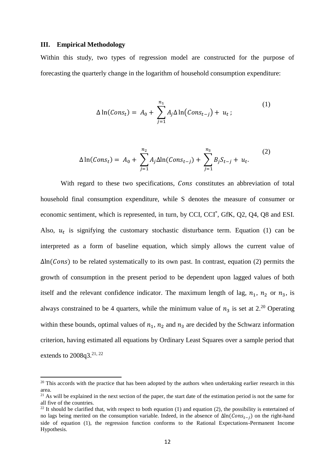#### **III. Empirical Methodology**

**.** 

Within this study, two types of regression model are constructed for the purpose of forecasting the quarterly change in the logarithm of household consumption expenditure:

$$
\Delta \ln(Cons_t) = A_0 + \sum_{j=1}^{n_1} A_j \Delta \ln(Cons_{t-j}) + u_t ; \qquad (1)
$$

$$
\Delta \ln(Cons_t) = A_0 + \sum_{j=1}^{n_2} A_j \Delta \ln(Cons_{t-j}) + \sum_{j=1}^{n_3} B_j S_{t-j} + u_t.
$$
 (2)

With regard to these two specifications, Cons constitutes an abbreviation of total household final consumption expenditure, while S denotes the measure of consumer or economic sentiment, which is represented, in turn, by CCI, CCI<sup>\*</sup>, GfK, Q2, Q4, Q8 and ESI. Also,  $u_t$  is signifying the customary stochastic disturbance term. Equation (1) can be interpreted as a form of baseline equation, which simply allows the current value of  $\Delta \ln(\text{Cons})$  to be related systematically to its own past. In contrast, equation (2) permits the growth of consumption in the present period to be dependent upon lagged values of both itself and the relevant confidence indicator. The maximum length of lag,  $n_1$ ,  $n_2$  or  $n_3$ , is always constrained to be 4 quarters, while the minimum value of  $n_3$  is set at 2.<sup>20</sup> Operating within these bounds, optimal values of  $n_1$ ,  $n_2$  and  $n_3$  are decided by the Schwarz information criterion, having estimated all equations by Ordinary Least Squares over a sample period that extends to 2008q3.<sup>21, 22</sup>

<sup>&</sup>lt;sup>20</sup> This accords with the practice that has been adopted by the authors when undertaking earlier research in this area.

 $21$  As will be explained in the next section of the paper, the start date of the estimation period is not the same for all five of the countries.

<sup>&</sup>lt;sup>22</sup> It should be clarified that, with respect to both equation (1) and equation (2), the possibility is entertained of no lags being merited on the consumption variable. Indeed, in the absence of  $\Delta \ln(Cons_{t-i})$  on the right-hand side of equation (1), the regression function conforms to the Rational Expectations-Permanent Income Hypothesis.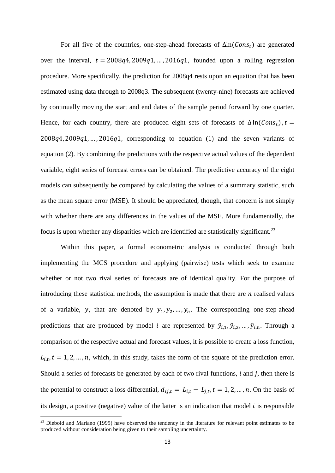For all five of the countries, one-step-ahead forecasts of  $\Delta \ln(Cons_t)$  are generated over the interval,  $t = 2008q^4, 2009q^1, \ldots, 2016q^1$ , founded upon a rolling regression procedure. More specifically, the prediction for 2008q4 rests upon an equation that has been estimated using data through to 2008q3. The subsequent (twenty-nine) forecasts are achieved by continually moving the start and end dates of the sample period forward by one quarter. Hence, for each country, there are produced eight sets of forecasts of  $\Delta \ln(Cons_t)$ ,  $t =$  $2008q4, 2009q1, \ldots, 2016q1$ , corresponding to equation (1) and the seven variants of equation (2). By combining the predictions with the respective actual values of the dependent variable, eight series of forecast errors can be obtained. The predictive accuracy of the eight models can subsequently be compared by calculating the values of a summary statistic, such as the mean square error (MSE). It should be appreciated, though, that concern is not simply with whether there are any differences in the values of the MSE. More fundamentally, the focus is upon whether any disparities which are identified are statistically significant.<sup>23</sup>

Within this paper, a formal econometric analysis is conducted through both implementing the MCS procedure and applying (pairwise) tests which seek to examine whether or not two rival series of forecasts are of identical quality. For the purpose of introducing these statistical methods, the assumption is made that there are  $n$  realised values of a variable, y, that are denoted by  $y_1, y_2, ..., y_n$ . The corresponding one-step-ahead predictions that are produced by model *i* are represented by  $\hat{y}_{i,1}, \hat{y}_{i,2}, \dots, \hat{y}_{i,n}$ . Through a comparison of the respective actual and forecast values, it is possible to create a loss function,  $L_{i,t}$ ,  $t = 1, 2, ..., n$ , which, in this study, takes the form of the square of the prediction error. Should a series of forecasts be generated by each of two rival functions,  $i$  and  $j$ , then there is the potential to construct a loss differential,  $d_{ij,t} = L_{i,t} - L_{j,t}$ ,  $t = 1, 2, ..., n$ . On the basis of its design, a positive (negative) value of the latter is an indication that model  $i$  is responsible

<sup>&</sup>lt;sup>23</sup> Diebold and Mariano (1995) have observed the tendency in the literature for relevant point estimates to be produced without consideration being given to their sampling uncertainty.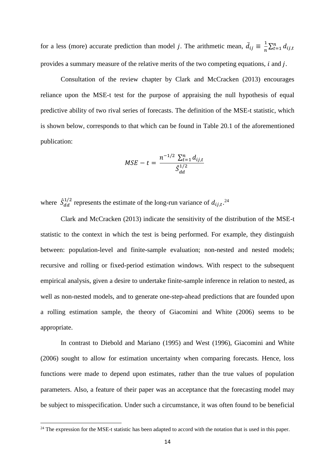for a less (more) accurate prediction than model *j*. The arithmetic mean,  $\bar{d}_{ij} \equiv \frac{1}{n}$  $\frac{1}{n}\sum_{t=1}^n d_{ij,t}$ provides a summary measure of the relative merits of the two competing equations,  $i$  and  $j$ .

Consultation of the review chapter by Clark and McCracken (2013) encourages reliance upon the MSE-t test for the purpose of appraising the null hypothesis of equal predictive ability of two rival series of forecasts. The definition of the MSE-t statistic, which is shown below, corresponds to that which can be found in Table 20.1 of the aforementioned publication:

$$
MSE - t = \frac{n^{-1/2} \sum_{t=1}^{n} d_{ij,t}}{\hat{S}_{dd}^{1/2}}
$$

where  $\hat{S}_{dd}^{1/2}$  $_{dd}^{1/2}$  represents the estimate of the long-run variance of  $d_{ij,t}$ .<sup>24</sup>

Clark and McCracken (2013) indicate the sensitivity of the distribution of the MSE-t statistic to the context in which the test is being performed. For example, they distinguish between: population-level and finite-sample evaluation; non-nested and nested models; recursive and rolling or fixed-period estimation windows. With respect to the subsequent empirical analysis, given a desire to undertake finite-sample inference in relation to nested, as well as non-nested models, and to generate one-step-ahead predictions that are founded upon a rolling estimation sample, the theory of Giacomini and White (2006) seems to be appropriate.

In contrast to Diebold and Mariano (1995) and West (1996), Giacomini and White (2006) sought to allow for estimation uncertainty when comparing forecasts. Hence, loss functions were made to depend upon estimates, rather than the true values of population parameters. Also, a feature of their paper was an acceptance that the forecasting model may be subject to misspecification. Under such a circumstance, it was often found to be beneficial

 $24$  The expression for the MSE-t statistic has been adapted to accord with the notation that is used in this paper.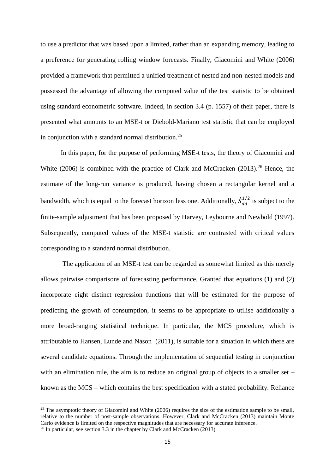to use a predictor that was based upon a limited, rather than an expanding memory, leading to a preference for generating rolling window forecasts. Finally, Giacomini and White (2006) provided a framework that permitted a unified treatment of nested and non-nested models and possessed the advantage of allowing the computed value of the test statistic to be obtained using standard econometric software. Indeed, in section 3.4 (p. 1557) of their paper, there is presented what amounts to an MSE-t or Diebold-Mariano test statistic that can be employed in conjunction with a standard normal distribution.<sup>25</sup>

In this paper, for the purpose of performing MSE-t tests, the theory of Giacomini and White (2006) is combined with the practice of Clark and McCracken (2013).<sup>26</sup> Hence, the estimate of the long-run variance is produced, having chosen a rectangular kernel and a bandwidth, which is equal to the forecast horizon less one. Additionally,  $\hat{S}_{dd}^{1/2}$  $\frac{1}{2}$  is subject to the finite-sample adjustment that has been proposed by Harvey, Leybourne and Newbold (1997). Subsequently, computed values of the MSE-t statistic are contrasted with critical values corresponding to a standard normal distribution.

The application of an MSE-t test can be regarded as somewhat limited as this merely allows pairwise comparisons of forecasting performance. Granted that equations (1) and (2) incorporate eight distinct regression functions that will be estimated for the purpose of predicting the growth of consumption, it seems to be appropriate to utilise additionally a more broad-ranging statistical technique. In particular, the MCS procedure, which is attributable to Hansen, Lunde and Nason (2011), is suitable for a situation in which there are several candidate equations. Through the implementation of sequential testing in conjunction with an elimination rule, the aim is to reduce an original group of objects to a smaller set  $$ known as the MCS – which contains the best specification with a stated probability. Reliance

<sup>&</sup>lt;sup>25</sup> The asymptotic theory of Giacomini and White (2006) requires the size of the estimation sample to be small, relative to the number of post-sample observations. However, Clark and McCracken (2013) maintain Monte Carlo evidence is limited on the respective magnitudes that are necessary for accurate inference.

<sup>&</sup>lt;sup>26</sup> In particular, see section 3.3 in the chapter by Clark and McCracken (2013).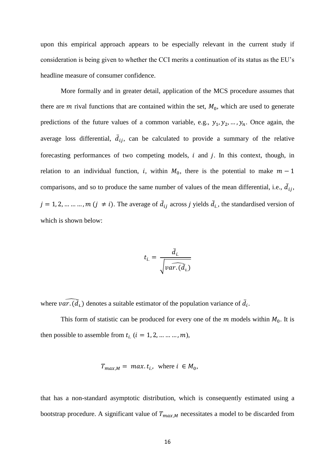upon this empirical approach appears to be especially relevant in the current study if consideration is being given to whether the CCI merits a continuation of its status as the EU's headline measure of consumer confidence.

More formally and in greater detail, application of the MCS procedure assumes that there are  $m$  rival functions that are contained within the set,  $M_0$ , which are used to generate predictions of the future values of a common variable, e.g.,  $y_1, y_2, ..., y_n$ . Once again, the average loss differential,  $\overline{d}_{ij}$ , can be calculated to provide a summary of the relative forecasting performances of two competing models,  $i$  and  $j$ . In this context, though, in relation to an individual function, i, within  $M_0$ , there is the potential to make  $m-1$ comparisons, and so to produce the same number of values of the mean differential, i.e.,  $\overline{d}_{ij}$ ,  $j = 1, 2, ..., ..., m$   $(j \neq i)$ . The average of  $\bar{d}_{ij}$  across j yields  $\bar{d}_{i}$ , the standardised version of which is shown below:

$$
t_{i.} = \frac{\bar{d}_{i.}}{\sqrt{var.(\bar{d}_{i.})}}
$$

where  $\widehat{var. (d_i)}$  denotes a suitable estimator of the population variance of  $\overline{d_i}$ .

This form of statistic can be produced for every one of the  $m$  models within  $M_0$ . It is then possible to assemble from  $t_{i.}$   $(i = 1, 2, ..., ..., m)$ ,

$$
T_{max,M} = \max. t_i, \text{ where } i \in M_0,
$$

that has a non-standard asymptotic distribution, which is consequently estimated using a bootstrap procedure. A significant value of  $T_{max,M}$  necessitates a model to be discarded from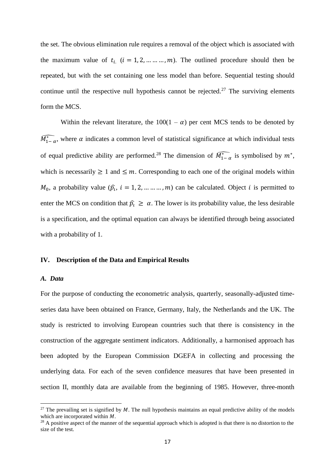the set. The obvious elimination rule requires a removal of the object which is associated with the maximum value of  $t_i$  ( $i = 1, 2, ..., ..., m$ ). The outlined procedure should then be repeated, but with the set containing one less model than before. Sequential testing should continue until the respective null hypothesis cannot be rejected.<sup>27</sup> The surviving elements form the MCS.

Within the relevant literature, the  $100(1 - \alpha)$  per cent MCS tends to be denoted by  $\widehat{M_{1-\alpha}}$ , where  $\alpha$  indicates a common level of statistical significance at which individual tests of equal predictive ability are performed.<sup>28</sup> The dimension of  $\widehat{M_{1-\alpha}^*}$  is symbolised by  $m^*$ , which is necessarily  $\geq 1$  and  $\leq m$ . Corresponding to each one of the original models within  $M_0$ , a probability value  $(\hat{p}_i, i = 1, 2, ..., ..., m)$  can be calculated. Object *i* is permitted to enter the MCS on condition that  $\hat{p}_i \ge \alpha$ . The lower is its probability value, the less desirable is a specification, and the optimal equation can always be identified through being associated with a probability of 1.

#### **IV. Description of the Data and Empirical Results**

#### *A. Data*

**.** 

For the purpose of conducting the econometric analysis, quarterly, seasonally-adjusted timeseries data have been obtained on France, Germany, Italy, the Netherlands and the UK. The study is restricted to involving European countries such that there is consistency in the construction of the aggregate sentiment indicators. Additionally, a harmonised approach has been adopted by the European Commission DGEFA in collecting and processing the underlying data. For each of the seven confidence measures that have been presented in section II, monthly data are available from the beginning of 1985. However, three-month

<sup>&</sup>lt;sup>27</sup> The prevailing set is signified by M. The null hypothesis maintains an equal predictive ability of the models which are incorporated within  $M$ .

<sup>&</sup>lt;sup>28</sup> A positive aspect of the manner of the sequential approach which is adopted is that there is no distortion to the size of the test.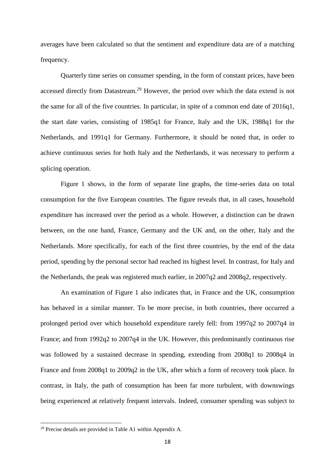averages have been calculated so that the sentiment and expenditure data are of a matching frequency.

Quarterly time series on consumer spending, in the form of constant prices, have been accessed directly from Datastream.<sup>29</sup> However, the period over which the data extend is not the same for all of the five countries. In particular, in spite of a common end date of 2016q1, the start date varies, consisting of 1985q1 for France, Italy and the UK, 1988q1 for the Netherlands, and 1991q1 for Germany. Furthermore, it should be noted that, in order to achieve continuous series for both Italy and the Netherlands, it was necessary to perform a splicing operation.

Figure 1 shows, in the form of separate line graphs, the time-series data on total consumption for the five European countries. The figure reveals that, in all cases, household expenditure has increased over the period as a whole. However, a distinction can be drawn between, on the one hand, France, Germany and the UK and, on the other, Italy and the Netherlands. More specifically, for each of the first three countries, by the end of the data period, spending by the personal sector had reached its highest level. In contrast, for Italy and the Netherlands, the peak was registered much earlier, in 2007q2 and 2008q2, respectively.

An examination of Figure 1 also indicates that, in France and the UK, consumption has behaved in a similar manner. To be more precise, in both countries, there occurred a prolonged period over which household expenditure rarely fell: from 1997q2 to 2007q4 in France; and from 1992q2 to 2007q4 in the UK. However, this predominantly continuous rise was followed by a sustained decrease in spending, extending from 2008q1 to 2008q4 in France and from 2008q1 to 2009q2 in the UK, after which a form of recovery took place. In contrast, in Italy, the path of consumption has been far more turbulent, with downswings being experienced at relatively frequent intervals. Indeed, consumer spending was subject to

 $29$  Precise details are provided in Table A1 within Appendix A.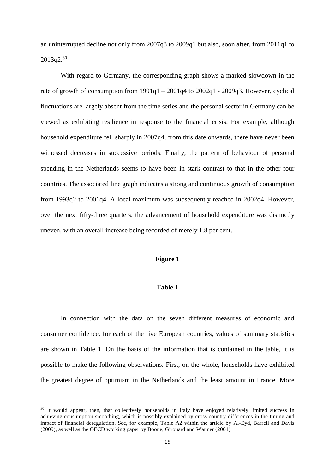an uninterrupted decline not only from 2007q3 to 2009q1 but also, soon after, from 2011q1 to  $2013q2^{30}$ 

With regard to Germany, the corresponding graph shows a marked slowdown in the rate of growth of consumption from  $1991q1 - 2001q4$  to  $2002q1 - 2009q3$ . However, cyclical fluctuations are largely absent from the time series and the personal sector in Germany can be viewed as exhibiting resilience in response to the financial crisis. For example, although household expenditure fell sharply in 2007q4, from this date onwards, there have never been witnessed decreases in successive periods. Finally, the pattern of behaviour of personal spending in the Netherlands seems to have been in stark contrast to that in the other four countries. The associated line graph indicates a strong and continuous growth of consumption from 1993q2 to 2001q4. A local maximum was subsequently reached in 2002q4. However, over the next fifty-three quarters, the advancement of household expenditure was distinctly uneven, with an overall increase being recorded of merely 1.8 per cent.

#### **Figure 1**

#### **Table 1**

In connection with the data on the seven different measures of economic and consumer confidence, for each of the five European countries, values of summary statistics are shown in Table 1. On the basis of the information that is contained in the table, it is possible to make the following observations. First, on the whole, households have exhibited the greatest degree of optimism in the Netherlands and the least amount in France. More

<sup>&</sup>lt;sup>30</sup> It would appear, then, that collectively households in Italy have enjoyed relatively limited success in achieving consumption smoothing, which is possibly explained by cross-country differences in the timing and impact of financial deregulation. See, for example, Table A2 within the article by Al-Eyd, Barrell and Davis (2009), as well as the OECD working paper by Boone, Girouard and Wanner (2001).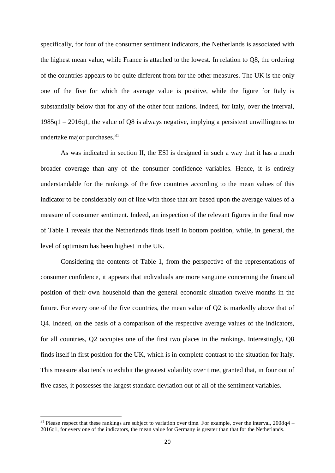specifically, for four of the consumer sentiment indicators, the Netherlands is associated with the highest mean value, while France is attached to the lowest. In relation to Q8, the ordering of the countries appears to be quite different from for the other measures. The UK is the only one of the five for which the average value is positive, while the figure for Italy is substantially below that for any of the other four nations. Indeed, for Italy, over the interval, 1985q1 – 2016q1, the value of Q8 is always negative, implying a persistent unwillingness to undertake major purchases. $31$ 

As was indicated in section II, the ESI is designed in such a way that it has a much broader coverage than any of the consumer confidence variables. Hence, it is entirely understandable for the rankings of the five countries according to the mean values of this indicator to be considerably out of line with those that are based upon the average values of a measure of consumer sentiment. Indeed, an inspection of the relevant figures in the final row of Table 1 reveals that the Netherlands finds itself in bottom position, while, in general, the level of optimism has been highest in the UK.

Considering the contents of Table 1, from the perspective of the representations of consumer confidence, it appears that individuals are more sanguine concerning the financial position of their own household than the general economic situation twelve months in the future. For every one of the five countries, the mean value of Q2 is markedly above that of Q4. Indeed, on the basis of a comparison of the respective average values of the indicators, for all countries, Q2 occupies one of the first two places in the rankings. Interestingly, Q8 finds itself in first position for the UK, which is in complete contrast to the situation for Italy. This measure also tends to exhibit the greatest volatility over time, granted that, in four out of five cases, it possesses the largest standard deviation out of all of the sentiment variables.

 $31$  Please respect that these rankings are subject to variation over time. For example, over the interval,  $2008q4 -$ 2016q1, for every one of the indicators, the mean value for Germany is greater than that for the Netherlands.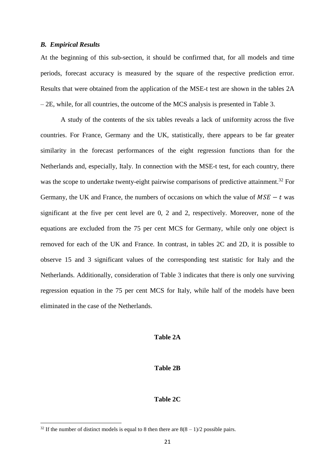#### *B. Empirical Results*

At the beginning of this sub-section, it should be confirmed that, for all models and time periods, forecast accuracy is measured by the square of the respective prediction error. Results that were obtained from the application of the MSE-t test are shown in the tables 2A – 2E, while, for all countries, the outcome of the MCS analysis is presented in Table 3.

A study of the contents of the six tables reveals a lack of uniformity across the five countries. For France, Germany and the UK, statistically, there appears to be far greater similarity in the forecast performances of the eight regression functions than for the Netherlands and, especially, Italy. In connection with the MSE-t test, for each country, there was the scope to undertake twenty-eight pairwise comparisons of predictive attainment.<sup>32</sup> For Germany, the UK and France, the numbers of occasions on which the value of  $MSE - t$  was significant at the five per cent level are 0, 2 and 2, respectively. Moreover, none of the equations are excluded from the 75 per cent MCS for Germany, while only one object is removed for each of the UK and France. In contrast, in tables 2C and 2D, it is possible to observe 15 and 3 significant values of the corresponding test statistic for Italy and the Netherlands. Additionally, consideration of Table 3 indicates that there is only one surviving regression equation in the 75 per cent MCS for Italy, while half of the models have been eliminated in the case of the Netherlands.

#### **Table 2A**

#### **Table 2B**

#### **Table 2C**

<sup>&</sup>lt;sup>32</sup> If the number of distinct models is equal to 8 then there are  $8(8-1)/2$  possible pairs.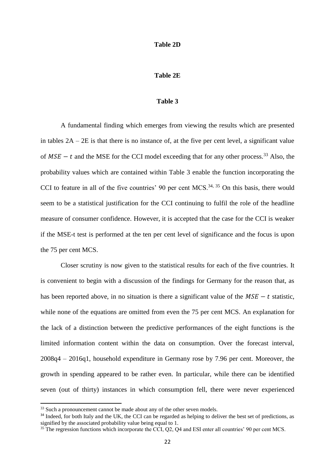#### **Table 2D**

#### **Table 2E**

#### **Table 3**

A fundamental finding which emerges from viewing the results which are presented in tables  $2A - 2E$  is that there is no instance of, at the five per cent level, a significant value of  $MSE - t$  and the MSE for the CCI model exceeding that for any other process.<sup>33</sup> Also, the probability values which are contained within Table 3 enable the function incorporating the CCI to feature in all of the five countries' 90 per cent MCS.<sup>34, 35</sup> On this basis, there would seem to be a statistical justification for the CCI continuing to fulfil the role of the headline measure of consumer confidence. However, it is accepted that the case for the CCI is weaker if the MSE-t test is performed at the ten per cent level of significance and the focus is upon the 75 per cent MCS.

Closer scrutiny is now given to the statistical results for each of the five countries. It is convenient to begin with a discussion of the findings for Germany for the reason that, as has been reported above, in no situation is there a significant value of the  $MSE - t$  statistic, while none of the equations are omitted from even the 75 per cent MCS. An explanation for the lack of a distinction between the predictive performances of the eight functions is the limited information content within the data on consumption. Over the forecast interval, 2008q4 – 2016q1, household expenditure in Germany rose by 7.96 per cent. Moreover, the growth in spending appeared to be rather even. In particular, while there can be identified seven (out of thirty) instances in which consumption fell, there were never experienced

<sup>&</sup>lt;sup>33</sup> Such a pronouncement cannot be made about any of the other seven models.

<sup>&</sup>lt;sup>34</sup> Indeed, for both Italy and the UK, the CCI can be regarded as helping to deliver the best set of predictions, as signified by the associated probability value being equal to 1.

<sup>&</sup>lt;sup>35</sup> The regression functions which incorporate the CCI, Q2, Q4 and ESI enter all countries' 90 per cent MCS.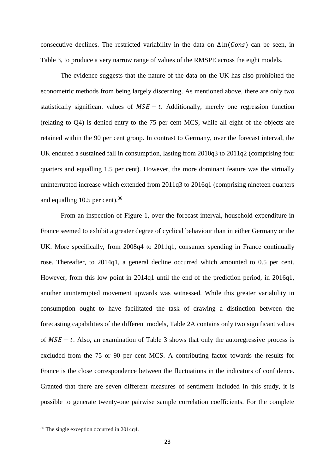consecutive declines. The restricted variability in the data on  $\Delta \ln(Cons)$  can be seen, in Table 3, to produce a very narrow range of values of the RMSPE across the eight models.

The evidence suggests that the nature of the data on the UK has also prohibited the econometric methods from being largely discerning. As mentioned above, there are only two statistically significant values of  $MSE - t$ . Additionally, merely one regression function (relating to Q4) is denied entry to the 75 per cent MCS, while all eight of the objects are retained within the 90 per cent group. In contrast to Germany, over the forecast interval, the UK endured a sustained fall in consumption, lasting from 2010q3 to 2011q2 (comprising four quarters and equalling 1.5 per cent). However, the more dominant feature was the virtually uninterrupted increase which extended from 2011q3 to 2016q1 (comprising nineteen quarters and equalling 10.5 per cent). $36$ 

From an inspection of Figure 1, over the forecast interval, household expenditure in France seemed to exhibit a greater degree of cyclical behaviour than in either Germany or the UK. More specifically, from 2008q4 to 2011q1, consumer spending in France continually rose. Thereafter, to 2014q1, a general decline occurred which amounted to 0.5 per cent. However, from this low point in 2014q1 until the end of the prediction period, in 2016q1, another uninterrupted movement upwards was witnessed. While this greater variability in consumption ought to have facilitated the task of drawing a distinction between the forecasting capabilities of the different models, Table 2A contains only two significant values of  $MSE - t$ . Also, an examination of Table 3 shows that only the autoregressive process is excluded from the 75 or 90 per cent MCS. A contributing factor towards the results for France is the close correspondence between the fluctuations in the indicators of confidence. Granted that there are seven different measures of sentiment included in this study, it is possible to generate twenty-one pairwise sample correlation coefficients. For the complete

<sup>&</sup>lt;sup>36</sup> The single exception occurred in 2014q4.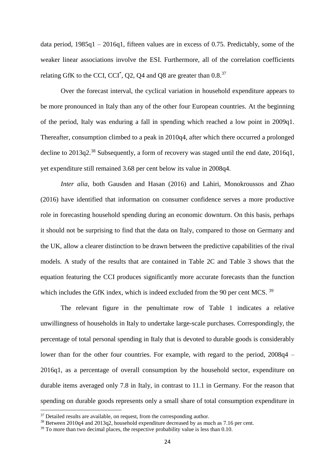data period, 1985q1 – 2016q1, fifteen values are in excess of 0.75. Predictably, some of the weaker linear associations involve the ESI. Furthermore, all of the correlation coefficients relating GfK to the CCI, CCI<sup>\*</sup>, Q2, Q4 and Q8 are greater than 0.8.<sup>37</sup>

Over the forecast interval, the cyclical variation in household expenditure appears to be more pronounced in Italy than any of the other four European countries. At the beginning of the period, Italy was enduring a fall in spending which reached a low point in 2009q1. Thereafter, consumption climbed to a peak in 2010q4, after which there occurred a prolonged decline to 2013q2.<sup>38</sup> Subsequently, a form of recovery was staged until the end date, 2016q1, yet expenditure still remained 3.68 per cent below its value in 2008q4.

*Inter alia*, both Gausden and Hasan (2016) and Lahiri, Monokroussos and Zhao (2016) have identified that information on consumer confidence serves a more productive role in forecasting household spending during an economic downturn. On this basis, perhaps it should not be surprising to find that the data on Italy, compared to those on Germany and the UK, allow a clearer distinction to be drawn between the predictive capabilities of the rival models. A study of the results that are contained in Table 2C and Table 3 shows that the equation featuring the CCI produces significantly more accurate forecasts than the function which includes the GfK index, which is indeed excluded from the 90 per cent MCS.<sup>39</sup>

The relevant figure in the penultimate row of Table 1 indicates a relative unwillingness of households in Italy to undertake large-scale purchases. Correspondingly, the percentage of total personal spending in Italy that is devoted to durable goods is considerably lower than for the other four countries. For example, with regard to the period, 2008q4 – 2016q1, as a percentage of overall consumption by the household sector, expenditure on durable items averaged only 7.8 in Italy, in contrast to 11.1 in Germany. For the reason that spending on durable goods represents only a small share of total consumption expenditure in

 $\overline{\phantom{a}}$ 

 $37$  Detailed results are available, on request, from the corresponding author.

<sup>38</sup> Between 2010q4 and 2013q2, household expenditure decreased by as much as 7.16 per cent.

 $39$  To more than two decimal places, the respective probability value is less than 0.10.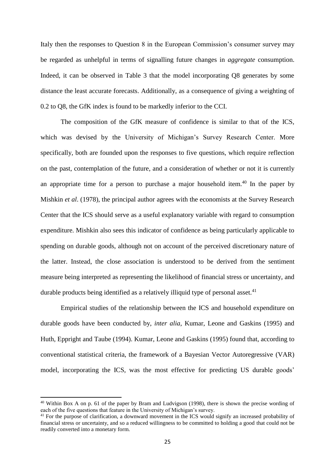Italy then the responses to Question 8 in the European Commission's consumer survey may be regarded as unhelpful in terms of signalling future changes in *aggregate* consumption. Indeed, it can be observed in Table 3 that the model incorporating Q8 generates by some distance the least accurate forecasts. Additionally, as a consequence of giving a weighting of 0.2 to Q8, the GfK index is found to be markedly inferior to the CCI.

The composition of the GfK measure of confidence is similar to that of the ICS, which was devised by the University of Michigan's Survey Research Center. More specifically, both are founded upon the responses to five questions, which require reflection on the past, contemplation of the future, and a consideration of whether or not it is currently an appropriate time for a person to purchase a major household item.<sup>40</sup> In the paper by Mishkin *et al*. (1978), the principal author agrees with the economists at the Survey Research Center that the ICS should serve as a useful explanatory variable with regard to consumption expenditure. Mishkin also sees this indicator of confidence as being particularly applicable to spending on durable goods, although not on account of the perceived discretionary nature of the latter. Instead, the close association is understood to be derived from the sentiment measure being interpreted as representing the likelihood of financial stress or uncertainty, and durable products being identified as a relatively illiquid type of personal asset. $41$ 

Empirical studies of the relationship between the ICS and household expenditure on durable goods have been conducted by, *inter alia*, Kumar, Leone and Gaskins (1995) and Huth, Eppright and Taube (1994). Kumar, Leone and Gaskins (1995) found that, according to conventional statistical criteria, the framework of a Bayesian Vector Autoregressive (VAR) model, incorporating the ICS, was the most effective for predicting US durable goods'

<sup>40</sup> Within Box A on p. 61 of the paper by Bram and Ludvigson (1998), there is shown the precise wording of each of the five questions that feature in the University of Michigan's survey.

<sup>&</sup>lt;sup>41</sup> For the purpose of clarification, a downward movement in the ICS would signify an increased probability of financial stress or uncertainty, and so a reduced willingness to be committed to holding a good that could not be readily converted into a monetary form.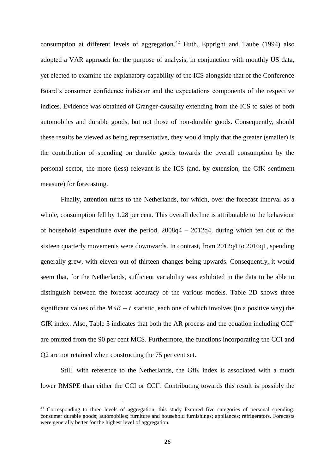consumption at different levels of aggregation.<sup>42</sup> Huth, Eppright and Taube (1994) also adopted a VAR approach for the purpose of analysis, in conjunction with monthly US data, yet elected to examine the explanatory capability of the ICS alongside that of the Conference Board's consumer confidence indicator and the expectations components of the respective indices. Evidence was obtained of Granger-causality extending from the ICS to sales of both automobiles and durable goods, but not those of non-durable goods. Consequently, should these results be viewed as being representative, they would imply that the greater (smaller) is the contribution of spending on durable goods towards the overall consumption by the personal sector, the more (less) relevant is the ICS (and, by extension, the GfK sentiment measure) for forecasting.

Finally, attention turns to the Netherlands, for which, over the forecast interval as a whole, consumption fell by 1.28 per cent. This overall decline is attributable to the behaviour of household expenditure over the period, 2008q4 – 2012q4, during which ten out of the sixteen quarterly movements were downwards. In contrast, from 2012q4 to 2016q1, spending generally grew, with eleven out of thirteen changes being upwards. Consequently, it would seem that, for the Netherlands, sufficient variability was exhibited in the data to be able to distinguish between the forecast accuracy of the various models. Table 2D shows three significant values of the  $MSE - t$  statistic, each one of which involves (in a positive way) the GfK index. Also, Table 3 indicates that both the AR process and the equation including CCI\* are omitted from the 90 per cent MCS. Furthermore, the functions incorporating the CCI and Q2 are not retained when constructing the 75 per cent set.

Still, with reference to the Netherlands, the GfK index is associated with a much lower RMSPE than either the CCI or CCI<sup>\*</sup>. Contributing towards this result is possibly the

<sup>&</sup>lt;sup>42</sup> Corresponding to three levels of aggregation, this study featured five categories of personal spending: consumer durable goods; automobiles; furniture and household furnishings; appliances; refrigerators. Forecasts were generally better for the highest level of aggregation.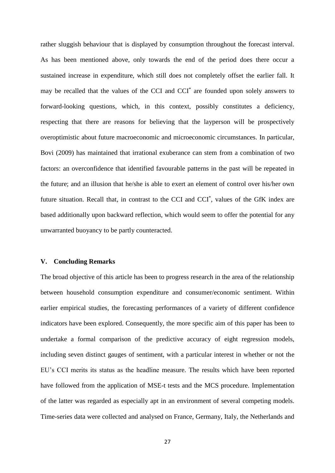rather sluggish behaviour that is displayed by consumption throughout the forecast interval. As has been mentioned above, only towards the end of the period does there occur a sustained increase in expenditure, which still does not completely offset the earlier fall. It may be recalled that the values of the CCI and CCI<sup>\*</sup> are founded upon solely answers to forward-looking questions, which, in this context, possibly constitutes a deficiency, respecting that there are reasons for believing that the layperson will be prospectively overoptimistic about future macroeconomic and microeconomic circumstances. In particular, Bovi (2009) has maintained that irrational exuberance can stem from a combination of two factors: an overconfidence that identified favourable patterns in the past will be repeated in the future; and an illusion that he/she is able to exert an element of control over his/her own future situation. Recall that, in contrast to the CCI and CCI<sup>\*</sup>, values of the GfK index are based additionally upon backward reflection, which would seem to offer the potential for any unwarranted buoyancy to be partly counteracted.

#### **V. Concluding Remarks**

The broad objective of this article has been to progress research in the area of the relationship between household consumption expenditure and consumer/economic sentiment. Within earlier empirical studies, the forecasting performances of a variety of different confidence indicators have been explored. Consequently, the more specific aim of this paper has been to undertake a formal comparison of the predictive accuracy of eight regression models, including seven distinct gauges of sentiment, with a particular interest in whether or not the EU's CCI merits its status as the headline measure. The results which have been reported have followed from the application of MSE-t tests and the MCS procedure. Implementation of the latter was regarded as especially apt in an environment of several competing models. Time-series data were collected and analysed on France, Germany, Italy, the Netherlands and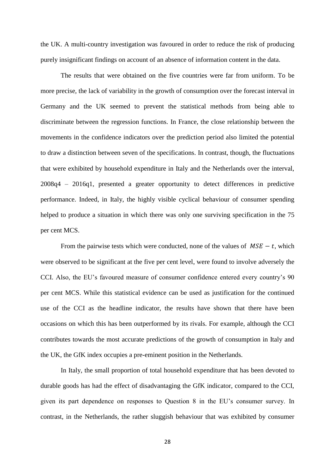the UK. A multi-country investigation was favoured in order to reduce the risk of producing purely insignificant findings on account of an absence of information content in the data.

The results that were obtained on the five countries were far from uniform. To be more precise, the lack of variability in the growth of consumption over the forecast interval in Germany and the UK seemed to prevent the statistical methods from being able to discriminate between the regression functions. In France, the close relationship between the movements in the confidence indicators over the prediction period also limited the potential to draw a distinction between seven of the specifications. In contrast, though, the fluctuations that were exhibited by household expenditure in Italy and the Netherlands over the interval, 2008q4 – 2016q1, presented a greater opportunity to detect differences in predictive performance. Indeed, in Italy, the highly visible cyclical behaviour of consumer spending helped to produce a situation in which there was only one surviving specification in the 75 per cent MCS.

From the pairwise tests which were conducted, none of the values of  $MSE - t$ , which were observed to be significant at the five per cent level, were found to involve adversely the CCI. Also, the EU's favoured measure of consumer confidence entered every country's 90 per cent MCS. While this statistical evidence can be used as justification for the continued use of the CCI as the headline indicator, the results have shown that there have been occasions on which this has been outperformed by its rivals. For example, although the CCI contributes towards the most accurate predictions of the growth of consumption in Italy and the UK, the GfK index occupies a pre-eminent position in the Netherlands.

In Italy, the small proportion of total household expenditure that has been devoted to durable goods has had the effect of disadvantaging the GfK indicator, compared to the CCI, given its part dependence on responses to Question 8 in the EU's consumer survey. In contrast, in the Netherlands, the rather sluggish behaviour that was exhibited by consumer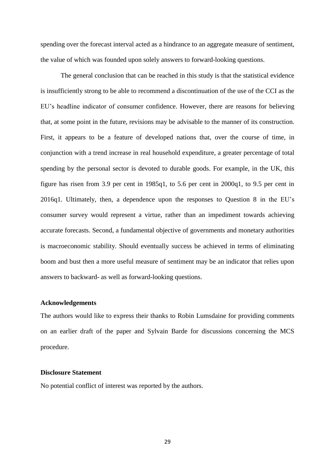spending over the forecast interval acted as a hindrance to an aggregate measure of sentiment, the value of which was founded upon solely answers to forward-looking questions.

The general conclusion that can be reached in this study is that the statistical evidence is insufficiently strong to be able to recommend a discontinuation of the use of the CCI as the EU's headline indicator of consumer confidence. However, there are reasons for believing that, at some point in the future, revisions may be advisable to the manner of its construction. First, it appears to be a feature of developed nations that, over the course of time, in conjunction with a trend increase in real household expenditure, a greater percentage of total spending by the personal sector is devoted to durable goods. For example, in the UK, this figure has risen from 3.9 per cent in 1985q1, to 5.6 per cent in 2000q1, to 9.5 per cent in 2016q1. Ultimately, then, a dependence upon the responses to Question 8 in the EU's consumer survey would represent a virtue, rather than an impediment towards achieving accurate forecasts. Second, a fundamental objective of governments and monetary authorities is macroeconomic stability. Should eventually success be achieved in terms of eliminating boom and bust then a more useful measure of sentiment may be an indicator that relies upon answers to backward- as well as forward-looking questions.

#### **Acknowledgements**

The authors would like to express their thanks to Robin Lumsdaine for providing comments on an earlier draft of the paper and Sylvain Barde for discussions concerning the MCS procedure.

#### **Disclosure Statement**

No potential conflict of interest was reported by the authors.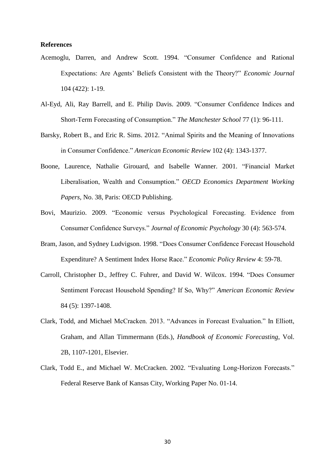#### **References**

- Acemoglu, Darren, and Andrew Scott. 1994. "Consumer Confidence and Rational Expectations: Are Agents' Beliefs Consistent with the Theory?" *Economic Journal* 104 (422): 1-19.
- Al-Eyd, Ali, Ray Barrell, and E. Philip Davis. 2009. "Consumer Confidence Indices and Short-Term Forecasting of Consumption." *The Manchester School* 77 (1): 96-111.
- Barsky, Robert B., and Eric R. Sims. 2012. "Animal Spirits and the Meaning of Innovations in Consumer Confidence." *American Economic Review* 102 (4): 1343-1377.
- Boone, Laurence, Nathalie Girouard, and Isabelle Wanner. 2001. "Financial Market Liberalisation, Wealth and Consumption." *OECD Economics Department Working Papers,* No. 38, Paris: OECD Publishing.
- Bovi, Maurizio. 2009. "Economic versus Psychological Forecasting. Evidence from Consumer Confidence Surveys." *Journal of Economic Psychology* 30 (4): 563-574.
- Bram, Jason, and Sydney Ludvigson. 1998. "Does Consumer Confidence Forecast Household Expenditure? A Sentiment Index Horse Race." *Economic Policy Review* 4: 59-78.
- Carroll, Christopher D., Jeffrey C. Fuhrer, and David W. Wilcox. 1994. "Does Consumer Sentiment Forecast Household Spending? If So, Why?" *American Economic Review* 84 (5): 1397-1408.
- Clark, Todd, and Michael McCracken. 2013. "Advances in Forecast Evaluation." In Elliott, Graham, and Allan Timmermann (Eds.), *Handbook of Economic Forecasting*, Vol. 2B, 1107-1201, Elsevier.
- Clark, Todd E., and Michael W. McCracken. 2002. "Evaluating Long-Horizon Forecasts." Federal Reserve Bank of Kansas City, Working Paper No. 01-14.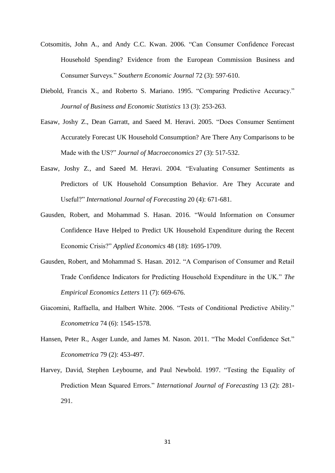- Cotsomitis, John A., and Andy C.C. Kwan. 2006. "Can Consumer Confidence Forecast Household Spending? Evidence from the European Commission Business and Consumer Surveys." *Southern Economic Journal* 72 (3): 597-610.
- Diebold, Francis X., and Roberto S. Mariano. 1995. "Comparing Predictive Accuracy." *Journal of Business and Economic Statistics* 13 (3): 253-263.
- Easaw, Joshy Z., Dean Garratt, and Saeed M. Heravi. 2005. "Does Consumer Sentiment Accurately Forecast UK Household Consumption? Are There Any Comparisons to be Made with the US?" *Journal of Macroeconomics* 27 (3): 517-532.
- Easaw, Joshy Z., and Saeed M. Heravi. 2004. "Evaluating Consumer Sentiments as Predictors of UK Household Consumption Behavior. Are They Accurate and Useful?" *International Journal of Forecasting* 20 (4): 671-681.
- Gausden, Robert, and Mohammad S. Hasan. 2016. "Would Information on Consumer Confidence Have Helped to Predict UK Household Expenditure during the Recent Economic Crisis?" *Applied Economics* 48 (18): 1695-1709.
- Gausden, Robert, and Mohammad S. Hasan. 2012. "A Comparison of Consumer and Retail Trade Confidence Indicators for Predicting Household Expenditure in the UK." *The Empirical Economics Letters* 11 (7): 669-676.
- Giacomini, Raffaella, and Halbert White. 2006. "Tests of Conditional Predictive Ability." *Econometrica* 74 (6): 1545-1578.
- Hansen, Peter R., Asger Lunde, and James M. Nason. 2011. "The Model Confidence Set." *Econometrica* 79 (2): 453-497.
- Harvey, David, Stephen Leybourne, and Paul Newbold. 1997. "Testing the Equality of Prediction Mean Squared Errors." *International Journal of Forecasting* 13 (2): 281- 291.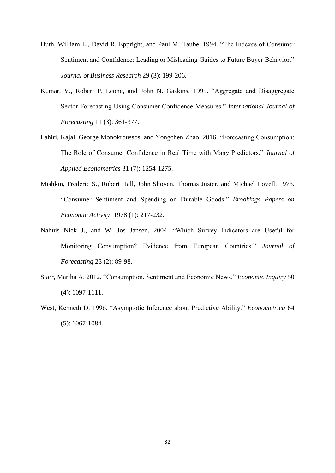- Huth, William L., David R. Eppright, and Paul M. Taube. 1994. "The Indexes of Consumer Sentiment and Confidence: Leading or Misleading Guides to Future Buyer Behavior." *Journal of Business Research* 29 (3): 199-206.
- Kumar, V., Robert P. Leone, and John N. Gaskins. 1995. "Aggregate and Disaggregate Sector Forecasting Using Consumer Confidence Measures." *International Journal of Forecasting* 11 (3): 361-377.
- Lahiri, Kajal, George Monokroussos, and Yongchen Zhao. 2016. "Forecasting Consumption: The Role of Consumer Confidence in Real Time with Many Predictors." *Journal of Applied Econometrics* 31 (7): 1254-1275.
- Mishkin, Frederic S., Robert Hall, John Shoven, Thomas Juster, and Michael Lovell. 1978. "Consumer Sentiment and Spending on Durable Goods." *Brookings Papers on Economic Activity*: 1978 (1): 217-232.
- Nahuis Niek J., and W. Jos Jansen. 2004. "Which Survey Indicators are Useful for Monitoring Consumption? Evidence from European Countries." *Journal of Forecasting* 23 (2): 89-98.
- Starr, Martha A. 2012. "Consumption, Sentiment and Economic News." *Economic Inquiry* 50 (4): 1097-1111.
- West, Kenneth D. 1996. "Asymptotic Inference about Predictive Ability." *Econometrica* 64 (5): 1067-1084.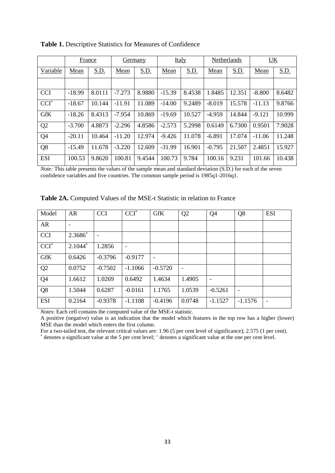|                | France   |        | Germany  |             | <b>Italy</b> |        | Netherlands |             | UK       |             |
|----------------|----------|--------|----------|-------------|--------------|--------|-------------|-------------|----------|-------------|
| Variable       | Mean     | S.D.   | Mean     | <u>S.D.</u> | Mean         | S.D.   | Mean        | <u>S.D.</u> | Mean     | <u>S.D.</u> |
|                |          |        |          |             |              |        |             |             |          |             |
| <b>CCI</b>     | $-18.99$ | 8.0111 | $-7.273$ | 8.9880      | $-15.39$     | 8.4538 | 1.8485      | 12.351      | $-8.800$ | 8.6482      |
| $CCI*$         | $-18.67$ | 10.144 | $-11.91$ | 11.089      | $-14.00$     | 9.2489 | $-8.019$    | 15.578      | $-11.13$ | 9.8766      |
| <b>GfK</b>     | $-18.26$ | 8.4313 | $-7.954$ | 10.869      | $-19.69$     | 10.527 | $-4.959$    | 14.844      | $-9.121$ | 10.999      |
| Q <sub>2</sub> | $-3.700$ | 4.8873 | $-2.296$ | 4.8586      | $-2.573$     | 5.2998 | 0.6149      | 6.7300      | 0.9501   | 7.9028      |
| Q <sub>4</sub> | $-20.11$ | 10.464 | $-11.20$ | 12.974      | $-9.426$     | 11.078 | $-6.891$    | 17.074      | $-11.06$ | 11.248      |
| Q <sub>8</sub> | $-15.49$ | 11.678 | $-3.220$ | 12.609      | $-31.99$     | 16.901 | $-0.795$    | 21.507      | 2.4851   | 15.927      |
| <b>ESI</b>     | 100.53   | 9.8620 | 100.81   | 9.4544      | 100.73       | 9.784  | 100.16      | 9.231       | 101.66   | 10.438      |

**Table 1.** Descriptive Statistics for Measures of Confidence

*Note:* This table presents the values of the sample mean and standard deviation (S.D.) for each of the seven confidence variables and five countries. The common sample period is 1985q1-2016q1.

| Model              | <b>AR</b> | <b>CCI</b> | $CCI^*$   | <b>GfK</b>      | Q2                       | Q <sub>4</sub> | Q <sub>8</sub> | <b>ESI</b>               |
|--------------------|-----------|------------|-----------|-----------------|--------------------------|----------------|----------------|--------------------------|
| <b>AR</b>          |           |            |           |                 |                          |                |                |                          |
| <b>CCI</b>         | $2.3686*$ |            |           |                 |                          |                |                |                          |
| $\overline{CCI}^*$ | $2.1044*$ | 1.2856     | -         |                 |                          |                |                |                          |
| <b>GfK</b>         | 0.6426    | $-0.3796$  | $-0.9177$ | $\qquad \qquad$ |                          |                |                |                          |
| Q2                 | 0.0752    | $-0.7502$  | $-1.1066$ | $-0.5720$       | $\overline{\phantom{a}}$ |                |                |                          |
| Q <sub>4</sub>     | 1.6612    | 1.0269     | 0.6492    | 1.4634          | 1.4905                   |                |                |                          |
| Q <sub>8</sub>     | 1.5044    | 0.6287     | $-0.0161$ | 1.1765          | 1.0539                   | $-0.5261$      | -              |                          |
| <b>ESI</b>         | 0.2164    | $-0.9378$  | $-1.1108$ | $-0.4196$       | 0.0748                   | $-1.1527$      | $-1.1576$      | $\overline{\phantom{a}}$ |

**Table 2A.** Computed Values of the MSE-t Statistic in relation to France

*Notes*: Each cell contains the computed value of the MSE-t statistic.

A positive (negative) value is an indication that the model which features in the top row has a higher (lower) MSE than the model which enters the first column.

For a two-tailed test, the relevant critical values are: 1.96 (5 per cent level of significance); 2.575 (1 per cent).

\* denotes a significant value at the 5 per cent level; + denotes a significant value at the one per cent level.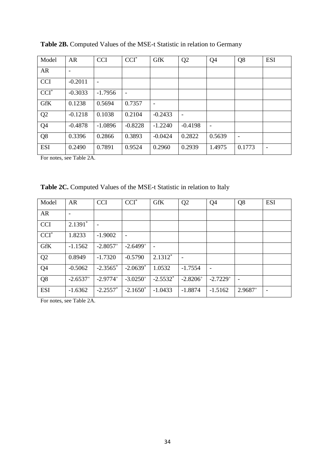| Model          | AR                       | <b>CCI</b> | $CCI^*$                  | <b>GfK</b>               | Q <sub>2</sub> | Q <sub>4</sub> | Q <sub>8</sub> | <b>ESI</b> |
|----------------|--------------------------|------------|--------------------------|--------------------------|----------------|----------------|----------------|------------|
| AR             | $\overline{\phantom{a}}$ |            |                          |                          |                |                |                |            |
| <b>CCI</b>     | $-0.2011$                |            |                          |                          |                |                |                |            |
| $CCI^*$        | $-0.3033$                | $-1.7956$  | $\overline{\phantom{0}}$ |                          |                |                |                |            |
| <b>GfK</b>     | 0.1238                   | 0.5694     | 0.7357                   | $\overline{\phantom{a}}$ |                |                |                |            |
| Q2             | $-0.1218$                | 0.1038     | 0.2104                   | $-0.2433$                |                |                |                |            |
| Q <sub>4</sub> | $-0.4878$                | $-1.0896$  | $-0.8228$                | $-1.2240$                | $-0.4198$      |                |                |            |
| Q8             | 0.3396                   | 0.2866     | 0.3893                   | $-0.0424$                | 0.2822         | 0.5639         |                |            |
| <b>ESI</b>     | 0.2490                   | 0.7891     | 0.9524                   | 0.2960                   | 0.2939         | 1.4975         | 0.1773         |            |

**Table 2B.** Computed Values of the MSE-t Statistic in relation to Germany

For notes, see Table 2A.

**Table 2C.** Computed Values of the MSE-t Statistic in relation to Italy

| Model              | <b>AR</b>                | <b>CCI</b>             | $CCI^*$                  | <b>GfK</b>               | Q <sub>2</sub> | Q <sub>4</sub>         | Q <sub>8</sub>           | <b>ESI</b> |
|--------------------|--------------------------|------------------------|--------------------------|--------------------------|----------------|------------------------|--------------------------|------------|
| <b>AR</b>          | $\overline{\phantom{0}}$ |                        |                          |                          |                |                        |                          |            |
| <b>CCI</b>         | $2.1391*$                |                        |                          |                          |                |                        |                          |            |
| $\overline{CCI}^*$ | 1.8233                   | $-1.9002$              | $\overline{\phantom{a}}$ |                          |                |                        |                          |            |
| <b>GfK</b>         | $-1.1562$                | $-2.8057$ <sup>+</sup> | $-2.6499^+$              | $\overline{\phantom{a}}$ |                |                        |                          |            |
| Q2                 | 0.8949                   | $-1.7320$              | $-0.5790$                | $2.1312*$                |                |                        |                          |            |
| Q <sub>4</sub>     | $-0.5062$                | $-2.3565$ <sup>*</sup> | $-2.0639*$               | 1.0532                   | $-1.7554$      |                        |                          |            |
| Q <sub>8</sub>     | $-2.6537^{+}$            | $-2.9774+$             | $-3.0250^{+}$            | $-2.5532*$               | $-2.8206^{+}$  | $-2.7229$ <sup>+</sup> | $\overline{\phantom{a}}$ |            |
| <b>ESI</b>         | $-1.6362$                | $-2.2557$ *            | $-2.1650^*$              | $-1.0433$                | $-1.8874$      | $-1.5162$              | $2.9687^+$               |            |

For notes, see Table 2A.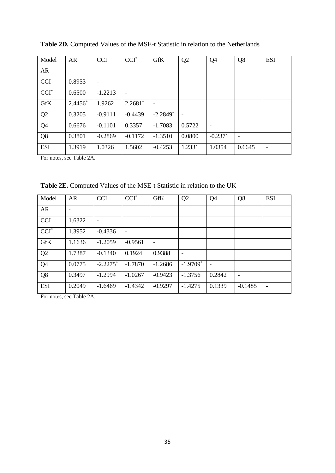| Model          | AR                       | <b>CCI</b> | $CCI^*$   | <b>GfK</b>               | Q <sub>2</sub> | Q <sub>4</sub> | Q <sub>8</sub> | <b>ESI</b> |
|----------------|--------------------------|------------|-----------|--------------------------|----------------|----------------|----------------|------------|
| AR             | $\overline{\phantom{0}}$ |            |           |                          |                |                |                |            |
| <b>CCI</b>     | 0.8953                   |            |           |                          |                |                |                |            |
| $CCI^*$        | 0.6500                   | $-1.2213$  | ٠         |                          |                |                |                |            |
| <b>GfK</b>     | $2.4456*$                | 1.9262     | $2.2681*$ | $\overline{\phantom{a}}$ |                |                |                |            |
| Q2             | 0.3205                   | $-0.9111$  | $-0.4439$ | $-2.2849$ <sup>*</sup>   |                |                |                |            |
| Q <sub>4</sub> | 0.6676                   | $-0.1101$  | 0.3357    | $-1.7083$                | 0.5722         |                |                |            |
| Q <sub>8</sub> | 0.3801                   | $-0.2869$  | $-0.1172$ | $-1.3510$                | 0.0800         | $-0.2371$      |                |            |
| <b>ESI</b>     | 1.3919                   | 1.0326     | 1.5602    | $-0.4253$                | 1.2331         | 1.0354         | 0.6645         | -          |

**Table 2D.** Computed Values of the MSE-t Statistic in relation to the Netherlands

For notes, see Table 2A.

**Table 2E.** Computed Values of the MSE-t Statistic in relation to the UK

| Model          | <b>AR</b>                | <b>CCI</b>  | $CCI^*$                  | <b>GfK</b>               | Q <sub>2</sub>         | Q <sub>4</sub> | Q <sub>8</sub>           | <b>ESI</b> |
|----------------|--------------------------|-------------|--------------------------|--------------------------|------------------------|----------------|--------------------------|------------|
| <b>AR</b>      | $\overline{\phantom{0}}$ |             |                          |                          |                        |                |                          |            |
| <b>CCI</b>     | 1.6322                   |             |                          |                          |                        |                |                          |            |
| $CCI^*$        | 1.3952                   | $-0.4336$   | $\overline{\phantom{a}}$ |                          |                        |                |                          |            |
| <b>GfK</b>     | 1.1636                   | $-1.2059$   | $-0.9561$                | $\overline{\phantom{a}}$ |                        |                |                          |            |
| Q <sub>2</sub> | 1.7387                   | $-0.1340$   | 0.1924                   | 0.9388                   |                        |                |                          |            |
| Q <sub>4</sub> | 0.0775                   | $-2.2275$ * | $-1.7870$                | $-1.2686$                | $-1.9709$ <sup>*</sup> |                |                          |            |
| Q <sub>8</sub> | 0.3497                   | $-1.2994$   | $-1.0267$                | $-0.9423$                | $-1.3756$              | 0.2842         | $\overline{\phantom{a}}$ |            |
| <b>ESI</b>     | 0.2049                   | $-1.6469$   | $-1.4342$                | $-0.9297$                | $-1.4275$              | 0.1339         | $-0.1485$                |            |

For notes, see Table 2A.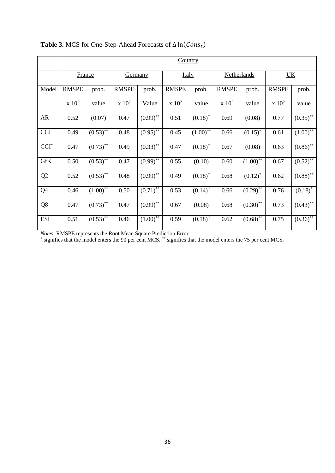|                        | Country       |               |                              |                          |               |             |               |                        |               |              |  |  |
|------------------------|---------------|---------------|------------------------------|--------------------------|---------------|-------------|---------------|------------------------|---------------|--------------|--|--|
|                        |               |               |                              |                          |               |             |               |                        |               |              |  |  |
|                        | France        |               | <b>Germany</b>               |                          | <b>Italy</b>  |             | Netherlands   |                        | UK            |              |  |  |
|                        |               |               |                              |                          |               |             |               |                        |               |              |  |  |
| Model                  | <b>RMSPE</b>  | prob.         | <b>RMSPE</b>                 | prob.                    | <b>RMSPE</b>  | prob.       | <b>RMSPE</b>  | prob.                  | <b>RMSPE</b>  | prob.        |  |  |
|                        | $\times 10^2$ | <u>value</u>  | $\mathbf{x}$ 10 <sup>2</sup> | <b>Value</b>             | $\times 10^2$ | value       | $\times 10^2$ | <u>value</u>           | $\times 10^2$ | <u>value</u> |  |  |
| AR                     | 0.52          | (0.07)        | 0.47                         | $(0.99)$ **              | 0.51          | $(0.18)$ *  | 0.69          | (0.08)                 | 0.77          | $(0.35)$ **  |  |  |
| <b>CCI</b>             | 0.49          | $(0.53)^{**}$ | 0.48                         | $(0.95)$ <sup>**</sup>   | 0.45          | $(1.00)$ ** | 0.66          | $(0.15)^*$             | 0.61          | $(1.00)$ **  |  |  |
| $\operatorname{CCI}^*$ | 0.47          | $(0.73)^{**}$ | 0.49                         | $(0.33)$ **              | 0.47          | $(0.18)^*$  | 0.67          | (0.08)                 | 0.63          | $(0.86)$ **  |  |  |
| <b>GfK</b>             | 0.50          | $(0.53)$ **   | 0.47                         | $(0.99)$ **              | 0.55          | (0.10)      | 0.60          | $(1.00)^{**}$          | 0.67          | $(0.52)$ **  |  |  |
| Q2                     | 0.52          | $(0.53)^{**}$ | 0.48                         | $\overline{(0.99)}^{**}$ | 0.49          | $(0.18)^*$  | 0.68          | $(0.12)^*$             | 0.62          | $(0.88)$ **  |  |  |
| Q4                     | 0.46          | $(1.00)^{**}$ | 0.50                         | $(0.71)^{**}$            | 0.53          | $(0.14)^*$  | 0.66          | $(0.29)$ <sup>**</sup> | 0.76          | $(0.18)^{*}$ |  |  |
| Q8                     | 0.47          | $(0.73)$ **   | 0.47                         | $(0.99)_{*}$             | 0.67          | (0.08)      | 0.68          | $(0.30)_{*}^{*}$       | 0.73          | $(0.43)$ **  |  |  |
| <b>ESI</b>             | 0.51          | $(0.53)$ **   | 0.46                         | $(1.00)$ **              | 0.59          | $(0.18)$ *  | 0.62          | $(0.68)$ **            | 0.75          | $(0.36)$ **  |  |  |

Table 3. MCS for One-Step-Ahead Forecasts of  $\Delta \ln (Cons_t)$ 

*Notes*: RMSPE represents the Root Mean Square Prediction Error. \* signifies that the model enters the 90 per cent MCS. \*\* signifies that the model enters the 75 per cent MCS.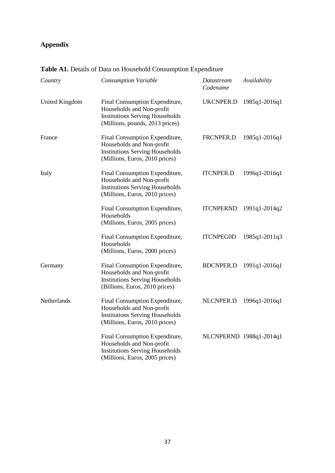## **Appendix**

| Country               | <b>Consumption Variable</b>                                                                                                              | Datastream<br>Codename | Availability            |
|-----------------------|------------------------------------------------------------------------------------------------------------------------------------------|------------------------|-------------------------|
| <b>United Kingdom</b> | Final Consumption Expenditure,<br>Households and Non-profit<br><b>Institutions Serving Households</b><br>(Millions, pounds, 2013 prices) | UKCNPER.D              | 1985q1-2016q1           |
| France                | Final Consumption Expenditure,<br>Households and Non-profit<br><b>Institutions Serving Households</b><br>(Millions, Euros, 2010 prices)  | FRCNPER.D              | 1985q1-2016q1           |
| Italy                 | Final Consumption Expenditure,<br>Households and Non-profit<br><b>Institutions Serving Households</b><br>(Millions, Euros, 2010 prices)  | <b>ITCNPER.D</b>       | 1996q1-2016q1           |
|                       | Final Consumption Expenditure,<br>Households<br>(Millions, Euros, 2005 prices)                                                           | <b>ITCNPERND</b>       | 1991q1-2014q2           |
|                       | Final Consumption Expenditure,<br>Households<br>(Millions, Euros, 2000 prices)                                                           | <b>ITCNPEG0D</b>       | 1985q1-2011q3           |
| Germany               | Final Consumption Expenditure,<br>Households and Non-profit<br><b>Institutions Serving Households</b><br>(Billions, Euros, 2010 prices)  | <b>BDCNPER.D</b>       | 1991q1-2016q1           |
| Netherlands           | Final Consumption Expenditure,<br>Households and Non-profit<br><b>Institutions Serving Households</b><br>(Millions, Euros, 2010 prices)  | NLCNPER.D              | 1996q1-2016q1           |
|                       | Final Consumption Expenditure,<br>Households and Non-profit<br><b>Institutions Serving Households</b><br>(Millions, Euros, 2005 prices)  |                        | NLCNPERND 1988q1-2014q1 |

**Table A1.** Details of Data on Household Consumption Expenditure